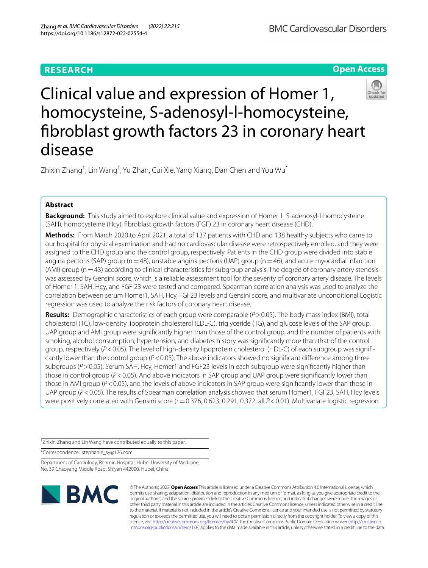# **RESEARCH**

**Open Access**



Zhixin Zhang<sup>†</sup>, Lin Wang<sup>†</sup>, Yu Zhan, Cui Xie, Yang Xiang, Dan Chen and You Wu<sup>\*</sup>

# **Abstract**

**Background:** This study aimed to explore clinical value and expression of Homer 1, S-adenosyl-l-homocysteine (SAH), homocysteine (Hcy), fbroblast growth factors (FGF) 23 in coronary heart disease (CHD).

**Methods:** From March 2020 to April 2021, a total of 137 patients with CHD and 138 healthy subjects who came to our hospital for physical examination and had no cardiovascular disease were retrospectively enrolled, and they were assigned to the CHD group and the control group, respectively. Patients in the CHD group were divided into stable angina pectoris (SAP) group ( $n=48$ ), unstable angina pectoris (UAP) group ( $n=46$ ), and acute myocardial infarction (AMI) group ( $n=43$ ) according to clinical characteristics for subgroup analysis. The degree of coronary artery stenosis was assessed by Gensini score, which is a reliable assessment tool for the severity of coronary artery disease. The levels of Homer 1, SAH, Hcy, and FGF 23 were tested and compared. Spearman correlation analysis was used to analyze the correlation between serum Homer1, SAH, Hcy, FGF23 levels and Gensini score, and multivariate unconditional Logistic regression was used to analyze the risk factors of coronary heart disease.

**Results:** Demographic characteristics of each group were comparable (*P*>0.05). The body mass index (BMI), total cholesterol (TC), low-density lipoprotein cholesterol (LDL-C), triglyceride (TG), and glucose levels of the SAP group, UAP group and AMI group were signifcantly higher than those of the control group, and the number of patients with smoking, alcohol consumption, hypertension, and diabetes history was signifcantly more than that of the control group, respectively (*P*<0.05). The level of high-density lipoprotein cholesterol (HDL-C) of each subgroup was signifcantly lower than the control group (*P*<0.05). The above indicators showed no signifcant diference among three subgroups (P > 0.05). Serum SAH, Hcy, Homer1 and FGF23 levels in each subgroup were significantly higher than those in control group ( $P < 0.05$ ). And above indicators in SAP group and UAP group were significantly lower than those in AMI group (*P*<0.05), and the levels of above indicators in SAP group were signifcantly lower than those in UAP group ( $P$ <0.05). The results of Spearman correlation analysis showed that serum Homer1, FGF23, SAH, Hcy levels were positively correlated with Gensini score (r=0.376, 0.623, 0.291, 0.372, all  $P < 0.01$ ). Multivariate logistic regression

† Zhixin Zhang and Lin Wang have contributed equally to this paper.

\*Correspondence: stephanie\_sy@126.com

Department of Cardiology, Renmin Hospital, Hubei University of Medicine, No. 39 Chaoyang Middle Road, Shiyan 442000, Hubei, China



© The Author(s) 2022. **Open Access** This article is licensed under a Creative Commons Attribution 4.0 International License, which permits use, sharing, adaptation, distribution and reproduction in any medium or format, as long as you give appropriate credit to the original author(s) and the source, provide a link to the Creative Commons licence, and indicate if changes were made. The images or other third party material in this article are included in the article's Creative Commons licence, unless indicated otherwise in a credit line to the material. If material is not included in the article's Creative Commons licence and your intended use is not permitted by statutory regulation or exceeds the permitted use, you will need to obtain permission directly from the copyright holder. To view a copy of this licence, visit [http://creativecommons.org/licenses/by/4.0/.](http://creativecommons.org/licenses/by/4.0/) The Creative Commons Public Domain Dedication waiver ([http://creativeco](http://creativecommons.org/publicdomain/zero/1.0/) [mmons.org/publicdomain/zero/1.0/](http://creativecommons.org/publicdomain/zero/1.0/)) applies to the data made available in this article, unless otherwise stated in a credit line to the data.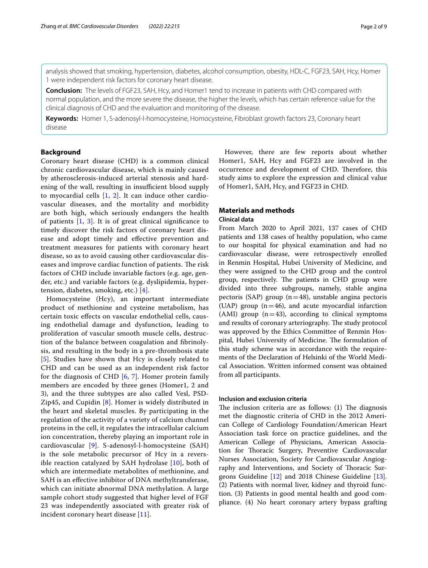analysis showed that smoking, hypertension, diabetes, alcohol consumption, obesity, HDL-C, FGF23, SAH, Hcy, Homer 1 were independent risk factors for coronary heart disease.

**Conclusion:** The levels of FGF23, SAH, Hcy, and Homer1 tend to increase in patients with CHD compared with normal population, and the more severe the disease, the higher the levels, which has certain reference value for the clinical diagnosis of CHD and the evaluation and monitoring of the disease.

**Keywords:** Homer 1, S-adenosyl-l-homocysteine, Homocysteine, Fibroblast growth factors 23, Coronary heart disease

### **Background**

Coronary heart disease (CHD) is a common clinical chronic cardiovascular disease, which is mainly caused by atherosclerosis-induced arterial stenosis and hardening of the wall, resulting in insufficient blood supply to myocardial cells [[1,](#page-7-0) [2](#page-7-1)]. It can induce other cardiovascular diseases, and the mortality and morbidity are both high, which seriously endangers the health of patients  $[1, 3]$  $[1, 3]$  $[1, 3]$  $[1, 3]$  $[1, 3]$ . It is of great clinical significance to timely discover the risk factors of coronary heart disease and adopt timely and efective prevention and treatment measures for patients with coronary heart disease, so as to avoid causing other cardiovascular diseases and improve cardiac function of patients. The risk factors of CHD include invariable factors (e.g. age, gender, etc.) and variable factors (e.g. dyslipidemia, hypertension, diabetes, smoking, etc.) [[4\]](#page-7-3).

Homocysteine (Hcy), an important intermediate product of methionine and cysteine metabolism, has certain toxic efects on vascular endothelial cells, causing endothelial damage and dysfunction, leading to proliferation of vascular smooth muscle cells, destruction of the balance between coagulation and fbrinolysis, and resulting in the body in a pre-thrombosis state [[5](#page-7-4)]. Studies have shown that Hcy is closely related to CHD and can be used as an independent risk factor for the diagnosis of CHD [\[6](#page-7-5), [7](#page-7-6)]. Homer protein family members are encoded by three genes (Homer1, 2 and 3), and the three subtypes are also called Vesl, PSD-Zip45, and Cupidin [\[8](#page-7-7)]. Homer is widely distributed in the heart and skeletal muscles. By participating in the regulation of the activity of a variety of calcium channel proteins in the cell, it regulates the intracellular calcium ion concentration, thereby playing an important role in cardiovascular [[9](#page-7-8)]. S-adenosyl-l-homocysteine (SAH) is the sole metabolic precursor of Hcy in a reversible reaction catalyzed by SAH hydrolase [\[10](#page-7-9)], both of which are intermediate metabolites of methionine, and SAH is an efective inhibitor of DNA methyltransferase, which can initiate abnormal DNA methylation. A large sample cohort study suggested that higher level of FGF 23 was independently associated with greater risk of incident coronary heart disease [[11\]](#page-7-10).

However, there are few reports about whether Homer1, SAH, Hcy and FGF23 are involved in the occurrence and development of CHD. Therefore, this study aims to explore the expression and clinical value of Homer1, SAH, Hcy, and FGF23 in CHD.

## **Materials and methods**

### **Clinical data**

From March 2020 to April 2021, 137 cases of CHD patients and 138 cases of healthy population, who came to our hospital for physical examination and had no cardiovascular disease, were retrospectively enrolled in Renmin Hospital, Hubei University of Medicine, and they were assigned to the CHD group and the control group, respectively. The patients in CHD group were divided into three subgroups, namely, stable angina pectoris (SAP) group ( $n=48$ ), unstable angina pectoris (UAP) group  $(n=46)$ , and acute myocardial infarction (AMI) group  $(n=43)$ , according to clinical symptoms and results of coronary arteriography. The study protocol was approved by the Ethics Committee of Renmin Hospital, Hubei University of Medicine. The formulation of this study scheme was in accordance with the requirements of the Declaration of Helsinki of the World Medical Association. Written informed consent was obtained from all participants.

### **Inclusion and exclusion criteria**

The inclusion criteria are as follows:  $(1)$  The diagnosis met the diagnostic criteria of CHD in the 2012 American College of Cardiology Foundation/American Heart Association task force on practice guidelines, and the American College of Physicians, American Association for Thoracic Surgery, Preventive Cardiovascular Nurses Association, Society for Cardiovascular Angiography and Interventions, and Society of Thoracic Surgeons Guideline [\[12](#page-7-11)] and 2018 Chinese Guideline [\[13](#page-7-12)]. (2) Patients with normal liver, kidney and thyroid function. (3) Patients in good mental health and good compliance. (4) No heart coronary artery bypass grafting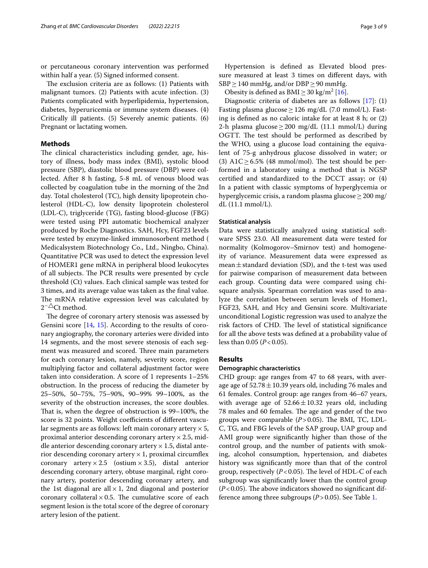or percutaneous coronary intervention was performed within half a year. (5) Signed informed consent.

The exclusion criteria are as follows:  $(1)$  Patients with malignant tumors. (2) Patients with acute infection. (3) Patients complicated with hyperlipidemia, hypertension, diabetes, hyperuricemia or immune system diseases. (4) Critically ill patients. (5) Severely anemic patients. (6) Pregnant or lactating women.

## **Methods**

The clinical characteristics including gender, age, history of illness, body mass index (BMI), systolic blood pressure (SBP), diastolic blood pressure (DBP) were collected. After 8 h fasting, 5-8 mL of venous blood was collected by coagulation tube in the morning of the 2nd day. Total cholesterol (TC), high density lipoprotein cholesterol (HDL-C), low density lipoprotein cholesterol (LDL-C), triglyceride (TG), fasting blood-glucose (FBG) were tested using PPI automatic biochemical analyzer produced by Roche Diagnostics. SAH, Hcy, FGF23 levels were tested by enzyme-linked immunosorbent method ( Medicalsystem Biotechnology Co., Ltd., Ningbo, China). Quantitative PCR was used to detect the expression level of HOMER1 gene mRNA in peripheral blood leukocytes of all subjects. The PCR results were presented by cycle threshold (Ct) values. Each clinical sample was tested for 3 times, and its average value was taken as the fnal value. The mRNA relative expression level was calculated by  $2^{-\triangle}$ Ct method.

The degree of coronary artery stenosis was assessed by Gensini score [[14,](#page-7-13) [15\]](#page-7-14). According to the results of coronary angiography, the coronary arteries were divided into 14 segments, and the most severe stenosis of each segment was measured and scored. Three main parameters for each coronary lesion, namely, severity score, region multiplying factor and collateral adjustment factor were taken into consideration. A score of 1 represents 1–25% obstruction. In the process of reducing the diameter by 25–50%, 50–75%, 75–90%, 90–99% 99–100%, as the severity of the obstruction increases, the score doubles. That is, when the degree of obstruction is 99-100%, the score is 32 points. Weight coefficients of different vascular segments are as follows: left main coronary artery  $\times$  5, proximal anterior descending coronary artery  $\times$  2.5, middle anterior descending coronary artery  $\times$  1.5, distal anterior descending coronary artery  $\times$  1, proximal circumflex coronary artery  $\times 2.5$  (ostium  $\times 3.5$ ), distal anterior descending coronary artery, obtuse marginal, right coronary artery, posterior descending coronary artery, and the 1st diagonal are all  $\times$  1, 2nd diagonal and posterior coronary collateral  $\times$  0.5. The cumulative score of each segment lesion is the total score of the degree of coronary artery lesion of the patient.

Obesity is defined as  $\text{BMI} \geq 30 \text{ kg/m}^2 \,[16]$  $\text{BMI} \geq 30 \text{ kg/m}^2 \,[16]$  $\text{BMI} \geq 30 \text{ kg/m}^2 \,[16]$ .

Diagnostic criteria of diabetes are as follows [\[17](#page-7-16)]: (1) Fasting plasma glucose  $\geq$  126 mg/dL (7.0 mmol/L). Fasting is defned as no caloric intake for at least 8 h; or (2) 2-h plasma glucose  $\geq$  200 mg/dL (11.1 mmol/L) during OGTT. The test should be performed as described by the WHO, using a glucose load containing the equivalent of 75-g anhydrous glucose dissolved in water; or (3) A1C  $\geq$  6.5% (48 mmol/mol). The test should be performed in a laboratory using a method that is NGSP certifed and standardized to the DCCT assay; or (4) In a patient with classic symptoms of hyperglycemia or hyperglycemic crisis, a random plasma glucose≥200 mg/ dL (11.1 mmol/L).

### **Statistical analysis**

Data were statistically analyzed using statistical software SPSS 23.0. All measurement data were tested for normality (Kolmogorov–Smirnov test) and homogeneity of variance. Measurement data were expressed as mean $\pm$ standard deviation (SD), and the t-test was used for pairwise comparison of measurement data between each group. Counting data were compared using chisquare analysis. Spearman correlation was used to analyze the correlation between serum levels of Homer1, FGF23, SAH, and Hcy and Gensini score. Multivariate unconditional Logistic regression was used to analyze the risk factors of CHD. The level of statistical significance for all the above tests was defned at a probability value of less than 0.05 (*P*<0.05).

### **Results**

### **Demographic characteristics**

CHD group: age ranges from 47 to 68 years, with average age of  $52.78 \pm 10.39$  years old, including 76 males and 61 females. Control group: age ranges from 46–67 years, with average age of  $52.66 \pm 10.32$  years old, including 78 males and 60 females. The age and gender of the two groups were comparable  $(P>0.05)$ . The BMI, TC, LDL-C, TG, and FBG levels of the SAP group, UAP group and AMI group were signifcantly higher than those of the control group, and the number of patients with smoking, alcohol consumption, hypertension, and diabetes history was signifcantly more than that of the control group, respectively  $(P<0.05)$ . The level of HDL-C of each subgroup was signifcantly lower than the control group  $(P<0.05)$ . The above indicators showed no significant difference among three subgroups (*P*>0.05). See Table [1.](#page-3-0)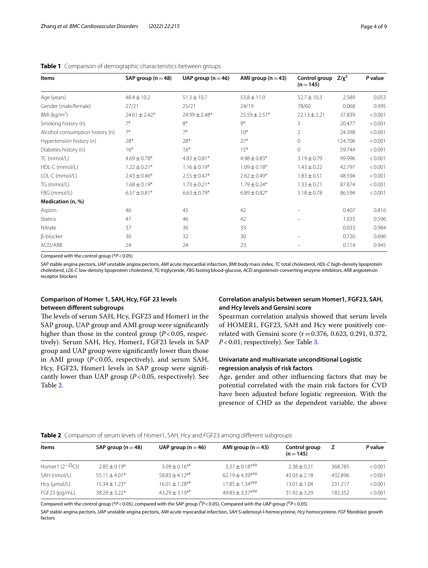| Items                           | SAP group ( $n = 48$ ) | UAP group $(n=46)$ | AMI group $(n=43)$ | Control group<br>$(n=145)$ | $Z/\chi^2$ | P value |
|---------------------------------|------------------------|--------------------|--------------------|----------------------------|------------|---------|
| Age (years)                     | $48.4 \pm 10.2$        | $51.3 \pm 10.7$    | $53.8 \pm 11.0$    | $52.7 \pm 10.3$            | 2.589      | 0.053   |
| Gender (male/female)            | 27/21                  | 25/21              | 24/19              | 78/60                      | 0.068      | 0.995   |
| BMI ( $kg/m2$ )                 | $24.61 \pm 2.42*$      | $24.99 \pm 2.48*$  | $25.59 \pm 2.51*$  | $22.13 + 2.21$             | 37.839     | < 0.001 |
| Smoking history (n)             | $7*$                   | $8*$               | $Q^*$              | 3                          | 20.477     | < 0.001 |
| Alcohol consumption history (n) | $7*$                   | $7*$               | $10*$              | $\overline{2}$             | 24.398     | < 0.001 |
| Hypertension history (n)        | 28*                    | $28*$              | $27*$              | $\Omega$                   | 124.706    | < 0.001 |
| Diabetes history (n)            | $16*$                  | $16*$              | $15*$              | $\Omega$                   | 59.744     | < 0.001 |
| TC (mmol/L)                     | $4.69 \pm 0.78*$       | $4.83 \pm 0.81*$   | $4.98 \pm 0.83*$   | $3.19 \pm 0.79$            | 99.996     | < 0.001 |
| HDL-C (mmol/L)                  | $1.22 \pm 0.21*$       | $1.16 \pm 0.19*$   | $1.09 \pm 0.18*$   | $1.43 \pm 0.22$            | 42.797     | < 0.001 |
| LDL-C (mmol/L)                  | $2.43 \pm 0.46*$       | $2.55 \pm 0.47*$   | $2.62 \pm 0.49*$   | $1.83 \pm 0.51$            | 48.594     | < 0.001 |
| TG (mmol/L)                     | $1.68 \pm 0.19*$       | $1.73 \pm 0.21*$   | $1.79 \pm 0.24*$   | $1.33 \pm 0.21$            | 87.874     | < 0.001 |
| FBG (mmol/L)                    | $6.57 \pm 0.81*$       | $6.63 \pm 0.79*$   | $6.89 \pm 0.82*$   | $5.18 \pm 0.78$            | 86.594     | < 0.001 |
| Medication (n, %)               |                        |                    |                    |                            |            |         |
| Aspirin                         | 46                     | 45                 | 42                 |                            | 0.407      | 0.816   |
| <b>Statins</b>                  | 47                     | 46                 | 42                 |                            | 1.035      | 0.596   |
| Nitrate                         | 37                     | 36                 | 33                 |                            | 0.033      | 0.984   |
| β-blocker                       | 30                     | 32                 | 30                 |                            | 0.726      | 0.696   |
| ACEI/ARB                        | 24                     | 24                 | 23                 |                            | 0.114      | 0.945   |

### <span id="page-3-0"></span>**Table 1** Comparison of demographic characteristics between groups

Compared with the control group (\**P*<0.05)

*SAP* stable angina pectoris, *UAP* unstable angina pectoris, *AMI* acute myocardial infarction, *BMI* body mass index, *TC* total cholesterol, *HDL-C* high-density lipoprotein cholesterol, *LDL-C* low-density lipoprotein cholesterol, *TG* triglyceride, *FBG* fasting blood-glucose, *ACEI* angiotensin-converting enzyme inhibitors, *ARB* angiotensin receptor blockers

### **Comparison of Homer 1, SAH, Hcy, FGF 23 levels between diferent subgroups**

The levels of serum SAH, Hcy, FGF23 and Homer1 in the SAP group, UAP group and AMI group were signifcantly higher than those in the control group  $(P<0.05$ , respectively). Serum SAH, Hcy, Homer1, FGF23 levels in SAP group and UAP group were signifcantly lower than those in AMI group  $(P<0.05$ , respectively), and serum SAH, Hcy, FGF23, Homer1 levels in SAP group were signifcantly lower than UAP group (*P*<0.05, respectively). See Table [2](#page-3-1).

## **Correlation analysis between serum Homer1, FGF23, SAH, and Hcy levels and Gensini score**

Spearman correlation analysis showed that serum levels of HOMER1, FGF23, SAH and Hcy were positively correlated with Gensini score (r=0.376, 0.623, 0.291, 0.372, *P*<0.01, respectively). See Table [3.](#page-4-0)

### **Univariate and multivariate unconditional Logistic regression analysis of risk factors**

Age, gender and other infuencing factors that may be potential correlated with the main risk factors for CVD have been adjusted before logistic regreesion. With the presence of CHD as the dependent variable, the above

<span id="page-3-1"></span>

|  |  |  |  |  |  |  | Table 2 Comparison of serum levels of Homer1, SAH, Hcy and FGF23 among different subgroups |
|--|--|--|--|--|--|--|--------------------------------------------------------------------------------------------|
|--|--|--|--|--|--|--|--------------------------------------------------------------------------------------------|

| Items                  | SAP group $(n=48)$ | UAP group ( $n = 46$ )          | AMI group $(n=43)$  | Control group<br>$(n=145)$ |         | P value |
|------------------------|--------------------|---------------------------------|---------------------|----------------------------|---------|---------|
| Homer1 $(2-\Delta ct)$ | $2.85 \pm 0.19*$   | $3.09 + 0.16**$                 | $3.37 \pm 0.18***$  | $2.38 + 0.21$              | 368.785 | < 0.001 |
| SAH (nmol/L)           | $55.11 \pm 4.01*$  | $58.83 \pm 4.12^{*}$            | $62.19 + 4.39***$   | $45.03 + 2.18$             | 432.896 | < 0.001 |
| Hcy (µmol/L)           | $15.34 \pm 1.23*$  | $16.01 \pm 1.28$ * <sup>#</sup> | $17.85 \pm 1.34***$ | $13.01 + 1.04$             | 231.217 | < 0.001 |
| FGF23 (pq/mL)          | $38.29 + 3.22*$    | $43.29 + 3.19**$                | $49.83 \pm 3.37***$ | $31.92 + 3.29$             | 183.352 | < 0.001 |

Compared with the control group (\*P<0.05), compared with the SAP group (<sup>#</sup>P<0.05), Compared with the UAP group (<sup>@</sup>P<0.05)

*SAP* stable angina pectoris, *UAP* unstable angina pectoris, *AMI* acute myocardial infarction, *SAH* S-adenosyl-l-homocysteine, *Hcy* homocysteine, *FGF* fbroblast growth factors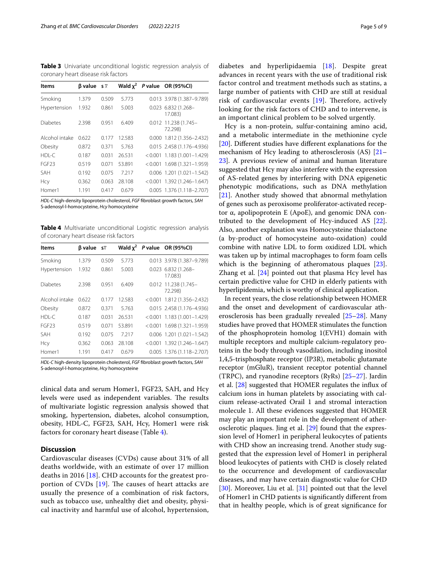<span id="page-4-0"></span>**Table 3** Univariate unconditional logistic regression analysis of coronary heart disease risk factors

| Items           | $\beta$ value s $\overline{x}$ |       | Wald $x^2$ | P value OR (95%CI)              |
|-----------------|--------------------------------|-------|------------|---------------------------------|
| Smoking         | 1.379                          | 0.509 | 5.773      | 0.013 3.978 (1.387-9.789)       |
| Hypertension    | 1.932                          | 0.861 | 5.003      | 0.023 6.832 (1.268-<br>17.083)  |
| <b>Diabetes</b> | 2.398                          | 0.951 | 6.409      | 0.012 11.238 (1.745-<br>72.298) |
| Alcohol intake  | 0622                           | 0.177 | 12.583     | $0.000$ 1.812 (1.356-2.432)     |
| Obesity         | 0.872                          | 0.371 | 5.763      | 0.015 2.458 (1.176-4.936)       |
| $HDI - C$       | 0.187                          | 0.031 | 26.531     | $< 0.001$ 1.183 (1.001-1.429)   |
| <b>FGF23</b>    | 0.519                          | 0.071 | 53.891     | $< 0.001$ 1.698 (1.321-1.959)   |
| <b>SAH</b>      | 0.192                          | 0.075 | 7 2 1 7    | $0.006$ 1.201 (1.021-1.542)     |
| Hcy             | 0.362                          | 0.063 | 28.108     | $< 0.001$ 1.392 (1.246-1.647)   |
| Homer1          | 1.191                          | 0.417 | 0.679      | $0.005$ 1.376 (1.118-2.707)     |

*HDL-C* high-density lipoprotein cholesterol, *FGF* fbroblast growth factors, *SAH* S-adenosyl-l-homocysteine, *Hcy* homocysteine

<span id="page-4-1"></span>**Table 4** Multivariate unconditional Logistic regression analysis of coronary heart disease risk factors

| Items          | $\beta$ value s $\overline{x}$ |       | Wald $x^2$ | P value OR (95%CI)              |
|----------------|--------------------------------|-------|------------|---------------------------------|
| Smoking        | 1.379                          | 0.509 | 5.773      | 0.013 3.978 (1.387-9.789)       |
| Hypertension   | 1.932                          | 0.861 | 5.003      | 0.023 6.832 (1.268-<br>17.083)  |
| Diabetes       | 2.398                          | 0.951 | 6.409      | 0.012 11.238 (1.745-<br>72.298) |
| Alcohol intake | 0.622                          | 0.177 | 12.583     | $< 0.001$ 1.812 (1.356-2.432)   |
| Obesity        | 0.872                          | 0.371 | 5.763      | 0.015 2.458 (1.176-4.936)       |
| $HDI - C$      | 0.187                          | 0.031 | 26.531     | $< 0.001$ 1.183 (1.001-1.429)   |
| <b>FGF23</b>   | 0.519                          | 0.071 | 53.891     | $< 0.001$ 1.698 (1.321-1.959)   |
| SAH            | 0.192                          | 0.075 | 7 2 1 7    | $0.006$ 1.201 (1.021-1.542)     |
| Hcy            | 0.362                          | 0.063 | 28.108     | $< 0.001$ 1.392 (1.246-1.647)   |
| Homer1         | 1.191                          | 0.417 | 0679       | $0.005$ 1.376 (1.118-2.707)     |

*HDL-C* high-density lipoprotein cholesterol, *FGF* fbroblast growth factors, *SAH* S-adenosyl-l-homocysteine, *Hcy* homocysteine

clinical data and serum Homer1, FGF23, SAH, and Hcy levels were used as independent variables. The results of multivariate logistic regression analysis showed that smoking, hypertension, diabetes, alcohol consumption, obesity, HDL-C, FGF23, SAH, Hcy, Homer1 were risk factors for coronary heart disease (Table [4](#page-4-1)).

### **Discussion**

Cardiovascular diseases (CVDs) cause about 31% of all deaths worldwide, with an estimate of over 17 million deaths in 2016 [\[18\]](#page-7-17). CHD accounts for the greatest proportion of CVDs  $[19]$  $[19]$ . The causes of heart attacks are usually the presence of a combination of risk factors, such as tobacco use, unhealthy diet and obesity, physical inactivity and harmful use of alcohol, hypertension, diabetes and hyperlipidaemia [\[18](#page-7-17)]. Despite great advances in recent years with the use of traditional risk factor control and treatment methods such as statins, a large number of patients with CHD are still at residual risk of cardiovascular events  $[19]$  $[19]$ . Therefore, actively looking for the risk factors of CHD and to intervene, is an important clinical problem to be solved urgently.

Hcy is a non-protein, sulfur-containing amino acid, and a metabolic intermediate in the methionine cycle [[20\]](#page-7-19). Diferent studies have diferent explanations for the mechanism of Hcy leading to atherosclerosis (AS) [[21–](#page-7-20) [23\]](#page-7-21). A previous review of animal and human literature suggested that Hcy may also interfere with the expression of AS-related genes by interfering with DNA epigenetic phenotypic modifcations, such as DNA methylation [[21\]](#page-7-20). Another study showed that abnormal methylation of genes such as peroxisome proliferator-activated receptor α, apolipoprotein E (ApoE), and genomic DNA contributed to the development of Hcy-induced AS [\[22](#page-7-22)]. Also, another explanation was Homocysteine thialactone (a by-product of homocysteine auto-oxidation) could combine with native LDL to form oxidized LDL which was taken up by intimal macrophages to form foam cells which is the beginning of atheromatous plaques [\[23](#page-7-21)]. Zhang et al.  $[24]$  $[24]$  pointed out that plasma Hcy level has certain predictive value for CHD in elderly patients with hyperlipidemia, which is worthy of clinical application.

In recent years, the close relationship between HOMER and the onset and development of cardiovascular atherosclerosis has been gradually revealed [\[25](#page-7-24)[–28\]](#page-7-25). Many studies have proved that HOMER stimulates the function of the phosphoprotein homolog 1(EVH1) domain with multiple receptors and multiple calcium-regulatory proteins in the body through vasodilation, including inositol 1,4,5-trisphosphate receptor (IP3R), metabolic glutamate receptor (mGluR), transient receptor potential channel (TRPC), and ryanodine receptors (RyRs) [[25–](#page-7-24)[27](#page-7-26)]. Jardin et al. [[28\]](#page-7-25) suggested that HOMER regulates the infux of calcium ions in human platelets by associating with calcium release-activated Orail 1 and stromal interaction molecule 1. All these evidences suggested that HOMER may play an important role in the development of atherosclerotic plaques. Jing et al. [[29](#page-7-27)] found that the expression level of Homer1 in peripheral leukocytes of patients with CHD show an increasing trend. Another study suggested that the expression level of Homer1 in peripheral blood leukocytes of patients with CHD is closely related to the occurrence and development of cardiovascular diseases, and may have certain diagnostic value for CHD [[30\]](#page-7-28). Moreover, Liu et al. [[31](#page-7-29)] pointed out that the level of Homer1 in CHD patients is signifcantly diferent from that in healthy people, which is of great signifcance for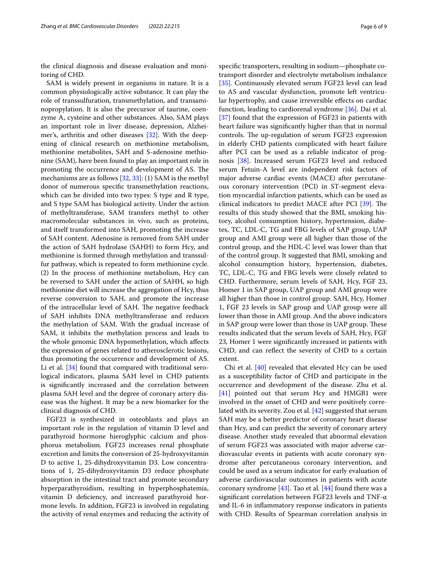the clinical diagnosis and disease evaluation and monitoring of CHD.

SAM is widely present in organisms in nature. It is a common physiologically active substance. It can play the role of transsulfuration, transmethylation, and transaminopropylation. It is also the precursor of taurine, coenzyme A, cysteine and other substances. Also, SAM plays an important role in liver disease, depression, Alzheimer's, arthritis and other diseases [[32\]](#page-7-30). With the deepening of clinical research on methionine metabolism, methionine metabolites, SAH and S-adenosine methionine (SAM), have been found to play an important role in promoting the occurrence and development of AS. The mechanisms are as follows [[32,](#page-7-30) [33\]](#page-7-31): (1) SAM is the methyl donor of numerous specifc transmethylation reactions, which can be divided into two types: S type and R type, and S type SAM has biological activity. Under the action of methyltransferase, SAM transfers methyl to other macromolecular substances in vivo, such as proteins, and itself transformed into SAH, promoting the increase of SAH content. Adenosine is removed from SAH under the action of SAH hydrolase (SAHH) to form Hcy, and methionine is formed through methylation and transsulfur pathway, which is repeated to form methionine cycle. (2) In the process of methionine metabolism, Hcy can be reversed to SAH under the action of SAHH, so high methionine diet will increase the aggregation of Hcy, thus reverse conversion to SAH, and promote the increase of the intracellular level of SAH. The negative feedback of SAH inhibits DNA methyltransferase and reduces the methylation of SAM. With the gradual increase of SAM, it inhibits the methylation process and leads to the whole genomic DNA hypomethylation, which afects the expression of genes related to atherosclerotic lesions, thus promoting the occurrence and development of AS. Li et al. [[34\]](#page-7-32) found that compared with traditional serological indicators, plasma SAH level in CHD patients is signifcantly increased and the correlation between plasma SAH level and the degree of coronary artery disease was the highest. It may be a new biomarker for the clinical diagnosis of CHD.

FGF23 is synthesized in osteoblasts and plays an important role in the regulation of vitamin D level and parathyroid hormone hieroglyphic calcium and phosphorus metabolism. FGF23 increases renal phosphate excretion and limits the conversion of 25-hydroxyvitamin D to active 1, 25-dihydroxyvitamin D3. Low concentrations of 1, 25-dihydroxyvitamin D3 reduce phosphate absorption in the intestinal tract and promote secondary hyperparathyroidism, resulting in hyperphosphatemia, vitamin D defciency, and increased parathyroid hormone levels. In addition, FGF23 is involved in regulating the activity of renal enzymes and reducing the activity of specifc transporters, resulting in sodium—phosphate cotransport disorder and electrolyte metabolism imbalance [[35\]](#page-7-33). Continuously elevated serum FGF23 level can lead to AS and vascular dysfunction, promote left ventricular hypertrophy, and cause irreversible effects on cardiac function, leading to cardiorenal syndrome [[36\]](#page-7-34). Dai et al. [[37\]](#page-7-35) found that the expression of FGF23 in patients with heart failure was signifcantly higher than that in normal controls. The up-regulation of serum FGF23 expression in elderly CHD patients complicated with heart failure after PCI can be used as a reliable indicator of prognosis [[38\]](#page-8-0). Increased serum FGF23 level and reduced serum Fetuin-A level are independent risk factors of major adverse cardiac events (MACE) after percutaneous coronary intervention (PCI) in ST-segment elevation myocardial infarction patients, which can be used as clinical indicators to predict MACE after PCI  $[39]$  $[39]$ . The results of this study showed that the BMI, smoking history, alcohol consumption history, hypertension, diabetes, TC, LDL-C, TG and FBG levels of SAP group, UAP group and AMI group were all higher than those of the control group, and the HDL-C level was lower than that of the control group. It suggested that BMI, smoking and alcohol consumption history, hypertension, diabetes, TC, LDL-C, TG and FBG levels were closely related to CHD. Furthermore, serum levels of SAH, Hcy, FGF 23, Homer 1 in SAP group, UAP group and AMI group were all higher than those in control group. SAH, Hcy, Homer 1, FGF 23 levels in SAP group and UAP group were all lower than those in AMI group. And the above indicators in SAP group were lower than those in UAP group. These results indicated that the serum levels of SAH, Hcy, FGF 23, Homer 1 were signifcantly increased in patients with CHD, and can refect the severity of CHD to a certain extent.

Chi et al. [[40\]](#page-8-2) revealed that elevated Hcy can be used as a susceptibility factor of CHD and participate in the occurrence and development of the disease. Zhu et al. [[41\]](#page-8-3) pointed out that serum Hcy and HMGB1 were involved in the onset of CHD and were positively correlated with its severity. Zou et al. [[42](#page-8-4)] suggested that serum SAH may be a better predictor of coronary heart disease than Hcy, and can predict the severity of coronary artery disease. Another study revealed that abnormal elevation of serum FGF23 was associated with major adverse cardiovascular events in patients with acute coronary syndrome after percutaneous coronary intervention, and could be used as a serum indicator for early evaluation of adverse cardiovascular outcomes in patients with acute coronary syndrome  $[43]$  $[43]$ . Tao et al.  $[44]$  $[44]$  found there was a signifcant correlation between FGF23 levels and TNF-α and IL-6 in infammatory response indicators in patients with CHD. Results of Spearman correlation analysis in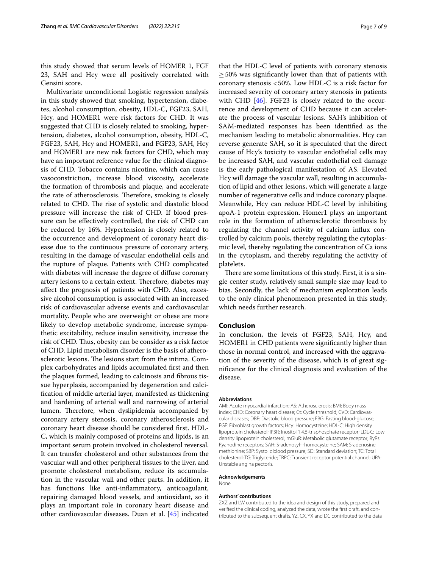this study showed that serum levels of HOMER 1, FGF 23, SAH and Hcy were all positively correlated with Gensini score.

Multivariate unconditional Logistic regression analysis in this study showed that smoking, hypertension, diabetes, alcohol consumption, obesity, HDL-C, FGF23, SAH, Hcy, and HOMER1 were risk factors for CHD. It was suggested that CHD is closely related to smoking, hypertension, diabetes, alcohol consumption, obesity, HDL-C, FGF23, SAH, Hcy and HOMER1, and FGF23, SAH, Hcy and HOMER1 are new risk factors for CHD, which may have an important reference value for the clinical diagnosis of CHD. Tobacco contains nicotine, which can cause vasoconstriction, increase blood viscosity, accelerate the formation of thrombosis and plaque, and accelerate the rate of atherosclerosis. Therefore, smoking is closely related to CHD. The rise of systolic and diastolic blood pressure will increase the risk of CHD. If blood pressure can be efectively controlled, the risk of CHD can be reduced by 16%. Hypertension is closely related to the occurrence and development of coronary heart disease due to the continuous pressure of coronary artery, resulting in the damage of vascular endothelial cells and the rupture of plaque. Patients with CHD complicated with diabetes will increase the degree of difuse coronary artery lesions to a certain extent. Therefore, diabetes may afect the prognosis of patients with CHD. Also, excessive alcohol consumption is associated with an increased risk of cardiovascular adverse events and cardiovascular mortality. People who are overweight or obese are more likely to develop metabolic syndrome, increase sympathetic excitability, reduce insulin sensitivity, increase the risk of CHD. Thus, obesity can be consider as a risk factor of CHD. Lipid metabolism disorder is the basis of atherosclerotic lesions. The lesions start from the intima. Complex carbohydrates and lipids accumulated frst and then the plaques formed, leading to calcinosis and fbrous tissue hyperplasia, accompanied by degeneration and calcifcation of middle arterial layer, manifested as thickening and hardening of arterial wall and narrowing of arterial lumen. Therefore, when dyslipidemia accompanied by coronary artery stenosis, coronary atherosclerosis and coronary heart disease should be considered frst. HDL-C, which is mainly composed of proteins and lipids, is an important serum protein involved in cholesterol reversal. It can transfer cholesterol and other substances from the vascular wall and other peripheral tissues to the liver, and promote cholesterol metabolism, reduce its accumulation in the vascular wall and other parts. In addition, it has functions like anti-infammatory, anticoagulant, repairing damaged blood vessels, and antioxidant, so it plays an important role in coronary heart disease and other cardiovascular diseases. Duan et al. [\[45](#page-8-7)] indicated that the HDL-C level of patients with coronary stenosis  $\geq$  50% was significantly lower than that of patients with coronary stenosis <50%. Low HDL-C is a risk factor for increased severity of coronary artery stenosis in patients with CHD [\[46](#page-8-8)]. FGF23 is closely related to the occurrence and development of CHD because it can accelerate the process of vascular lesions. SAH's inhibition of SAM-mediated responses has been identifed as the mechanism leading to metabolic abnormalities. Hcy can reverse generate SAH, so it is speculated that the direct cause of Hcy's toxicity to vascular endothelial cells may be increased SAH, and vascular endothelial cell damage is the early pathological manifestation of AS. Elevated Hcy will damage the vascular wall, resulting in accumulation of lipid and other lesions, which will generate a large number of regenerative cells and induce coronary plaque. Meanwhile, Hcy can reduce HDL-C level by inhibiting apoA-1 protein expression. Homer1 plays an important role in the formation of atherosclerotic thrombosis by regulating the channel activity of calcium infux controlled by calcium pools, thereby regulating the cytoplasmic level, thereby regulating the concentration of Ca ions in the cytoplasm, and thereby regulating the activity of platelets.

There are some limitations of this study. First, it is a single center study, relatively small sample size may lead to bias. Secondly, the lack of mechanism exploration leads to the only clinical phenomenon presented in this study, which needs further research.

### **Conclusion**

In conclusion, the levels of FGF23, SAH, Hcy, and HOMER1 in CHD patients were signifcantly higher than those in normal control, and increased with the aggravation of the severity of the disease, which is of great signifcance for the clinical diagnosis and evaluation of the disease.

#### **Abbreviations**

AMI: Acute myocardial infarction; AS: Atherosclerosis; BMI: Body mass index; CHD: Coronary heart disease; Ct: Cycle threshold; CVD: Cardiovascular diseases; DBP: Diastolic blood pressure; FBG: Fasting blood-glucose; FGF: Fibroblast growth factors; Hcy: Homocysteine; HDL-C: High density lipoprotein cholesterol; IP3R: Inositol 1,4,5-trisphosphate receptor; LDL-C: Low density lipoprotein cholesterol; mGluR: Metabolic glutamate receptor; RyRs: Ryanodine receptors; SAH: S-adenosyl-l-homocysteine; SAM: S-adenosine methionine; SBP: Systolic blood pressure; SD: Standard deviation; TC: Total cholesterol; TG: Triglyceride; TRPC: Transient receptor potential channel; UPA: Unstable angina pectoris.

#### **Acknowledgements**

None

#### **Authors' contributions**

ZXZ and LW contributed to the idea and design of this study, prepared and verifed the clinical coding, analyzed the data, wrote the frst draft, and contributed to the subsequent drafts. YZ, CX, YX and DC contributed to the data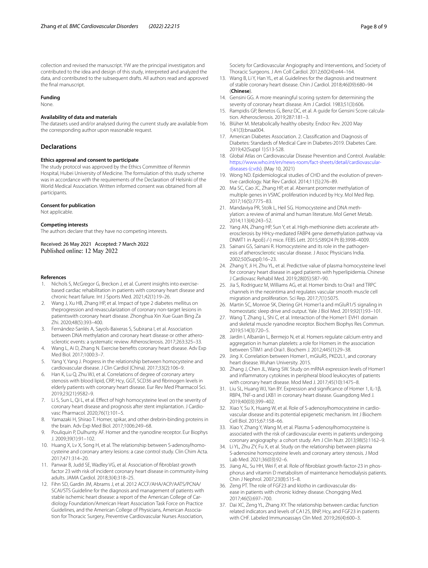collection and revised the manuscript. YW are the principal investigators and contributed to the idea and design of this study, interpreted and analyzed the data, and contributed to the subsequent drafts. All authors read and approved the fnal manuscript.

#### **Funding**

None.

#### **Availability of data and materials**

The datasets used and/or analysed during the current study are available from the corresponding author upon reasonable request.

#### **Declarations**

#### **Ethics approval and consent to participate**

The study protocol was approved by the Ethics Committee of Renmin Hospital, Hubei University of Medicine. The formulation of this study scheme was in accordance with the requirements of the Declaration of Helsinki of the World Medical Association. Written informed consent was obtained from all participants.

#### **Consent for publication**

Not applicable.

#### **Competing interests**

The authors declare that they have no competing interests.

Received: 26 May 2021 Accepted: 7 March 2022 Published online: 12 May 2022

#### **References**

- <span id="page-7-0"></span>Nichols S, McGregor G, Breckon J, et al. Current insights into exercisebased cardiac rehabilitation in patients with coronary heart disease and chronic heart failure. Int J Sports Med. 2021;42(1):19–26.
- <span id="page-7-1"></span>2. Wang J, Xu HB, Zhang HP, et al. Impact of type 2 diabetes mellitus on theprogression and revascularization of coronary non-target lesions in patientswith coronary heart disease. Zhonghua Xin Xue Guan Bing Za Zhi. 2020;48(5):393–400.
- <span id="page-7-2"></span>3. Fernández-Sanlés A, Sayols-Baixeras S, Subirana I, et al. Association between DNA methylation and coronary heart disease or other atherosclerotic events: a systematic review. Atherosclerosis. 2017;263:325–33.
- <span id="page-7-3"></span>4. Wang L, Ai D, Zhang N. Exercise benefts coronary heart disease. Adv Exp Med Biol. 2017;1000:3–7.
- <span id="page-7-4"></span>5. Yang Y, Yang J. Progress in the relationship between homocysteine and cardiovascular disease. J Clin Cardiol (China). 2017;33(2):106–9.
- <span id="page-7-5"></span>6. Han K, Lu Q, Zhu WJ, et al. Correlations of degree of coronary artery stenosis with blood lipid, CRP, Hcy, GGT, SCD36 and fbrinogen levels in elderly patients with coronary heart disease. Eur Rev Med Pharmacol Sci. 2019;23(21):9582–9.
- <span id="page-7-6"></span>7. Li S, Sun L, Qi L, et al. Effect of high homocysteine level on the severity of coronary heart disease and prognosis after stent implantation. J Cardiovasc Pharmacol. 2020;76(1):101–5.
- <span id="page-7-7"></span>8. Yamazaki H, Shirao T. Homer, spikar, and other drebrin-binding proteins in the brain. Adv Exp Med Biol. 2017;1006:249–68.
- <span id="page-7-8"></span>9. Pouliquin P, Dulhunty AF. Homer and the ryanodine receptor. Eur Biophys J. 2009;39(1):91–102.
- <span id="page-7-9"></span>10. Huang X, Lv X, Song H, et al. The relationship between S-adenosylhomocysteine and coronary artery lesions: a case control study. Clin Chim Acta. 2017;471:314–20.
- <span id="page-7-10"></span>11. Panwar B, Judd SE, Wadley VG, et al. Association of fbroblast growth factor 23 with risk of incident coronary heart disease in community-living adults. JAMA Cardiol. 2018;3(4):318–25.
- <span id="page-7-11"></span>12. Fihn SD, Gardin JM, Abrams J, et al. 2012 ACCF/AHA/ACP/AATS/PCNA/ SCAI/STS Guideline for the diagnosis and management of patients with stable ischemic heart disease: a report of the American College of Cardiology Foundation/American Heart Association Task Force on Practice Guidelines, and the American College of Physicians, American Association for Thoracic Surgery, Preventive Cardiovascular Nurses Association,

Society for Cardiovascular Angiography and Interventions, and Society of Thoracic Surgeons. J Am Coll Cardiol. 2012;60(24):e44–164.

- <span id="page-7-12"></span>13. Wang B, Li Y, Han YL, et al. Guidelines for the diagnosis and treatment of stable coronary heart disease. Chin J Cardiol. 2018;46(09):680–94 (**Chinese**).
- <span id="page-7-13"></span>14. Gensini GG. A more meaningful scoring system for determining the severity of coronary heart disease. Am J Cardiol. 1983;51(3):606.
- <span id="page-7-14"></span>15. Rampidis GP, Benetos G, Benz DC, et al. A guide for Gensini Score calculation. Atherosclerosis. 2019;287:181–3.
- <span id="page-7-15"></span>16. Blüher M. Metabolically healthy obesity. Endocr Rev. 2020 May 1;41(3):bnaa004.
- <span id="page-7-16"></span>17. American Diabetes Association. 2. Classifcation and Diagnosis of Diabetes: Standards of Medical Care in Diabetes-2019. Diabetes Care. 2019;42(Suppl 1):S13-S28.
- <span id="page-7-17"></span>18. Global Atlas on Cardiovascular Disease Prevention and Control. Available: [https://www.who.int/en/news-room/fact-sheets/detail/cardiovascular](https://www.who.int/en/news-room/fact-sheets/detail/cardiovascular-diseases-(cvds)[diseases-\(cvds](https://www.who.int/en/news-room/fact-sheets/detail/cardiovascular-diseases-(cvds)). (May 10, 2021)
- <span id="page-7-18"></span>19. Wong ND. Epidemiological studies of CHD and the evolution of preventive cardiology. Nat Rev Cardiol. 2014;11(5):276–89.
- <span id="page-7-19"></span>20. Ma SC, Cao JC, Zhang HP, et al. Aberrant promoter methylation of multiple genes in VSMC proliferation induced by Hcy. Mol Med Rep. 2017;16(5):7775–83.
- <span id="page-7-20"></span>21. Mandaviya PR, Stolk L, Heil SG. Homocysteine and DNA methylation: a review of animal and human literature. Mol Genet Metab. 2014;113(4):243–52.
- <span id="page-7-22"></span>22. Yang AN, Zhang HP, Sun Y, et al. High-methionine diets accelerate atherosclerosis by HHcy-mediated FABP4 gene demethylation pathway via DNMT1 in ApoE(-/-) mice. FEBS Lett. 2015;589(24 Pt B):3998–4009.
- <span id="page-7-21"></span>23. Sainani GS, Sainani R. Homocysteine and its role in the pathogenesis of atherosclerotic vascular disease. J Assoc Physicians India. 2002;50(Suppl):16–23.
- <span id="page-7-23"></span>24. Zhang Y, Ji H, Zhu YL, et al. Predictive value of plasma homocysteine level for coronary heart disease in aged patients with hyperlipidemia. Chinese J Cardiovasc Rehabil Med. 2019;28(05):587–90.
- <span id="page-7-24"></span>25. Jia S, Rodriguez M, Williams AG, et al. Homer binds to Orai1 and TRPC channels in the neointima and regulates vascular smooth muscle cell migration and proliferation. Sci Rep. 2017;7(1):5075.
- 26. Martin SC, Monroe SK, Diering GH. Homer1a and mGluR1/5 signaling in homeostatic sleep drive and output. Yale J Biol Med. 2019;92(1):93–101.
- <span id="page-7-26"></span>27. Wang T, Zhang L, Shi C, et al. Interaction of the Homer1 EVH1 domain and skeletal muscle ryanodine receptor. Biochem Biophys Res Commun. 2019;514(3):720–5.
- <span id="page-7-25"></span>28. Jardin I, Albarrán L, Bermejo N, et al. Homers regulate calcium entry and aggregation in human platelets: a role for Homers in the association between STIM1 and Orai1. Biochem J. 2012;445(1):29–38.
- <span id="page-7-27"></span>29. Jing X. Correlation between Homer1, mGluR5, PKD2L1, and coronary heart disease. Wuhan University. 2015.
- <span id="page-7-28"></span>30. Zhang J, Chen JL, Wang SW. Study on mRNA expression levels of Homer1 and infammatory cytokines in peripheral blood leukocytes of patients with coronary heart disease. Mod Med J. 2017;45(10):1475–8.
- <span id="page-7-29"></span>31. Liu SL, Huang WJ, Yan BY. Expression and signifcance of Homer 1, IL-1β, RBP4, TNF-α and LKB1 in coronary heart disease. Guangdong Med J. 2019;40(03):399–402.
- <span id="page-7-30"></span>32. Xiao Y, Su X, Huang W, et al. Role of S-adenosylhomocysteine in cardiovascular disease and its potential epigenetic mechanism. Int J Biochem Cell Biol. 2015;67:158–66.
- <span id="page-7-31"></span>33. Xiao Y, Zhang Y, Wang M, et al. Plasma S-adenosylhomocysteine is associated with the risk of cardiovascular events in patients undergoing coronary angiography: a cohort study. Am J Clin Nutr. 2013;98(5):1162–9.
- <span id="page-7-32"></span>34. Li YL, Zhu ZY, Fu X, et al. Study on the relationship between plasma S-adenosine homocysteine levels and coronary artery stenosis. J Mod Lab Med. 2021;36(03):92–6.
- <span id="page-7-33"></span>35. Jiang AL, Su HH, Wei F, et al. Role of fbroblast growth factor-23 in phosphorus and vitamin D metabolism of maintenance hemodialysis patients. Chin J Nephrol. 2007;23(8):515–8.
- <span id="page-7-34"></span>36. Zeng PT. The role of FGF23 and klotho in cardiovascular disease in patients with chronic kidney disease. Chongqing Med. 2017;46(5):697–700.
- <span id="page-7-35"></span>37. Dai XC, Zeng YL, Zhang XY. The relationship between cardiac function related indicators and levels of CA125, BNP, Hcy, and FGF23 in patients with CHF. Labeled Immunoassays Clin Med. 2019;26(4):600–3.